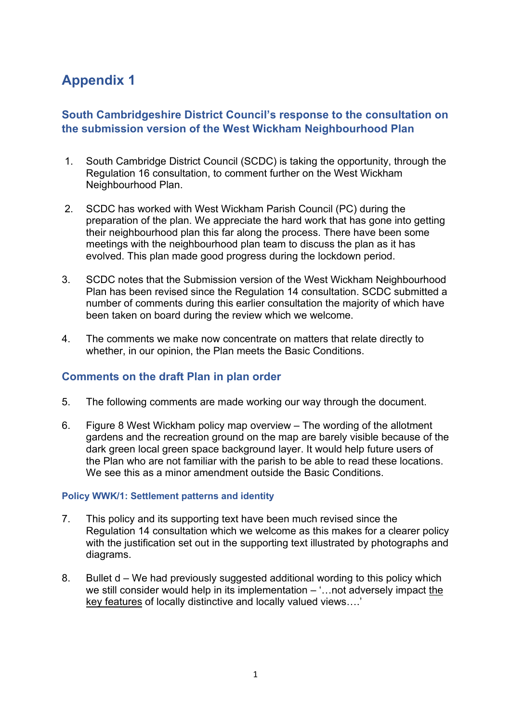# **Appendix 1**

# **South Cambridgeshire District Council's response to the consultation on the submission version of the West Wickham Neighbourhood Plan**

- 1. South Cambridge District Council (SCDC) is taking the opportunity, through the Regulation 16 consultation, to comment further on the West Wickham Neighbourhood Plan.
- 2. SCDC has worked with West Wickham Parish Council (PC) during the preparation of the plan. We appreciate the hard work that has gone into getting their neighbourhood plan this far along the process. There have been some meetings with the neighbourhood plan team to discuss the plan as it has evolved. This plan made good progress during the lockdown period.
- 3. SCDC notes that the Submission version of the West Wickham Neighbourhood Plan has been revised since the Regulation 14 consultation. SCDC submitted a number of comments during this earlier consultation the majority of which have been taken on board during the review which we welcome.
- 4. The comments we make now concentrate on matters that relate directly to whether, in our opinion, the Plan meets the Basic Conditions.

# **Comments on the draft Plan in plan order**

- 5. The following comments are made working our way through the document.
- 6. Figure 8 West Wickham policy map overview The wording of the allotment gardens and the recreation ground on the map are barely visible because of the dark green local green space background layer. It would help future users of the Plan who are not familiar with the parish to be able to read these locations. We see this as a minor amendment outside the Basic Conditions.

# **Policy WWK/1: Settlement patterns and identity**

- 7. This policy and its supporting text have been much revised since the Regulation 14 consultation which we welcome as this makes for a clearer policy with the justification set out in the supporting text illustrated by photographs and diagrams.
- 8. Bullet d We had previously suggested additional wording to this policy which we still consider would help in its implementation – '…not adversely impact the key features of locally distinctive and locally valued views….'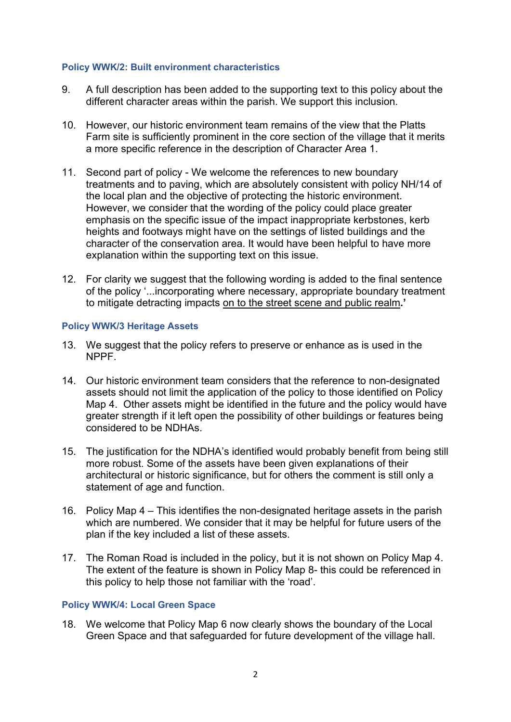#### **Policy WWK/2: Built environment characteristics**

- 9. A full description has been added to the supporting text to this policy about the different character areas within the parish. We support this inclusion.
- 10. However, our historic environment team remains of the view that the Platts Farm site is sufficiently prominent in the core section of the village that it merits a more specific reference in the description of Character Area 1.
- 11. Second part of policy We welcome the references to new boundary treatments and to paving, which are absolutely consistent with policy NH/14 of the local plan and the objective of protecting the historic environment. However, we consider that the wording of the policy could place greater emphasis on the specific issue of the impact inappropriate kerbstones, kerb heights and footways might have on the settings of listed buildings and the character of the conservation area. It would have been helpful to have more explanation within the supporting text on this issue.
- 12. For clarity we suggest that the following wording is added to the final sentence of the policy '...incorporating where necessary, appropriate boundary treatment to mitigate detracting impacts on to the street scene and public realm**.'**

## **Policy WWK/3 Heritage Assets**

- 13. We suggest that the policy refers to preserve or enhance as is used in the NPPF.
- 14. Our historic environment team considers that the reference to non-designated assets should not limit the application of the policy to those identified on Policy Map 4. Other assets might be identified in the future and the policy would have greater strength if it left open the possibility of other buildings or features being considered to be NDHAs.
- 15. The justification for the NDHA's identified would probably benefit from being still more robust. Some of the assets have been given explanations of their architectural or historic significance, but for others the comment is still only a statement of age and function.
- 16. Policy Map 4 This identifies the non-designated heritage assets in the parish which are numbered. We consider that it may be helpful for future users of the plan if the key included a list of these assets.
- 17. The Roman Road is included in the policy, but it is not shown on Policy Map 4. The extent of the feature is shown in Policy Map 8- this could be referenced in this policy to help those not familiar with the 'road'.

#### **Policy WWK/4: Local Green Space**

18. We welcome that Policy Map 6 now clearly shows the boundary of the Local Green Space and that safeguarded for future development of the village hall.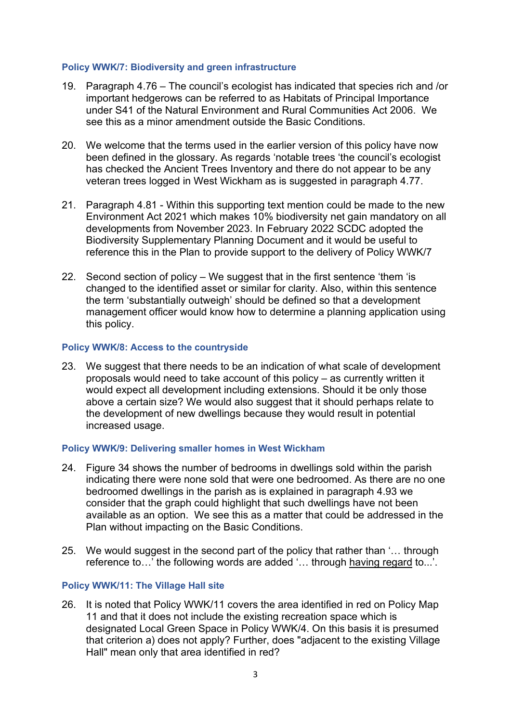#### **Policy WWK/7: Biodiversity and green infrastructure**

- 19. Paragraph 4.76 The council's ecologist has indicated that species rich and /or important hedgerows can be referred to as Habitats of Principal Importance under S41 of the Natural Environment and Rural Communities Act 2006. We see this as a minor amendment outside the Basic Conditions.
- 20. We welcome that the terms used in the earlier version of this policy have now been defined in the glossary. As regards 'notable trees 'the council's ecologist has checked the Ancient Trees Inventory and there do not appear to be any veteran trees logged in West Wickham as is suggested in paragraph 4.77.
- 21. Paragraph 4.81 Within this supporting text mention could be made to the new Environment Act 2021 which makes 10% biodiversity net gain mandatory on all developments from November 2023. In February 2022 SCDC adopted the Biodiversity Supplementary Planning Document and it would be useful to reference this in the Plan to provide support to the delivery of Policy WWK/7
- 22. Second section of policy We suggest that in the first sentence 'them 'is changed to the identified asset or similar for clarity. Also, within this sentence the term 'substantially outweigh' should be defined so that a development management officer would know how to determine a planning application using this policy.

## **Policy WWK/8: Access to the countryside**

23. We suggest that there needs to be an indication of what scale of development proposals would need to take account of this policy – as currently written it would expect all development including extensions. Should it be only those above a certain size? We would also suggest that it should perhaps relate to the development of new dwellings because they would result in potential increased usage.

#### **Policy WWK/9: Delivering smaller homes in West Wickham**

- 24. Figure 34 shows the number of bedrooms in dwellings sold within the parish indicating there were none sold that were one bedroomed. As there are no one bedroomed dwellings in the parish as is explained in paragraph 4.93 we consider that the graph could highlight that such dwellings have not been available as an option. We see this as a matter that could be addressed in the Plan without impacting on the Basic Conditions.
- 25. We would suggest in the second part of the policy that rather than '… through reference to…' the following words are added '… through having regard to...'.

#### **Policy WWK/11: The Village Hall site**

26. It is noted that Policy WWK/11 covers the area identified in red on Policy Map 11 and that it does not include the existing recreation space which is designated Local Green Space in Policy WWK/4. On this basis it is presumed that criterion a) does not apply? Further, does "adjacent to the existing Village Hall" mean only that area identified in red?